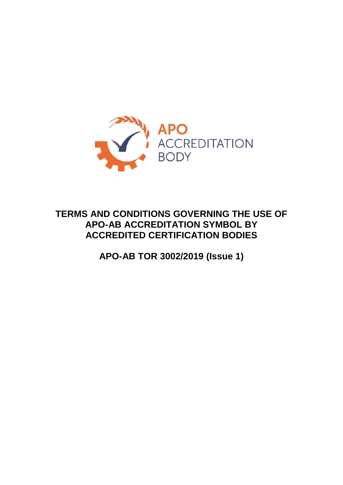

# **TERMS AND CONDITIONS GOVERNING THE USE OF APO-AB ACCREDITATION SYMBOL BY ACCREDITED CERTIFICATION BODIES**

**APO-AB TOR 3002/2019 (Issue 1)**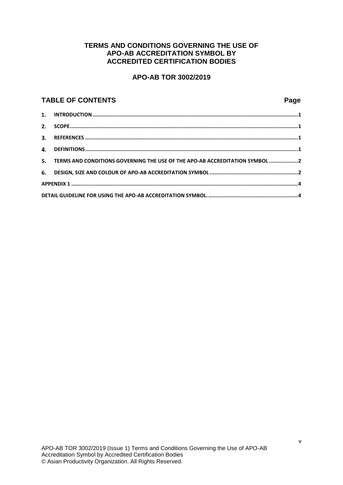#### **TERMS AND CONDITIONS GOVERNING THE USE OF APO-AB ACCREDITATION SYMBOL BY ACCREDITED CERTIFICATION BODIES**

#### **APO-AB TOR 3002/2019**

#### **TABLE OF CONTENTS Page**

| 5. TERMS AND CONDITIONS GOVERNING THE USE OF THE APO-AB ACCREDITATION SYMBOL 2 |  |  |  |
|--------------------------------------------------------------------------------|--|--|--|
|                                                                                |  |  |  |
|                                                                                |  |  |  |
|                                                                                |  |  |  |
|                                                                                |  |  |  |
|                                                                                |  |  |  |
|                                                                                |  |  |  |
|                                                                                |  |  |  |
|                                                                                |  |  |  |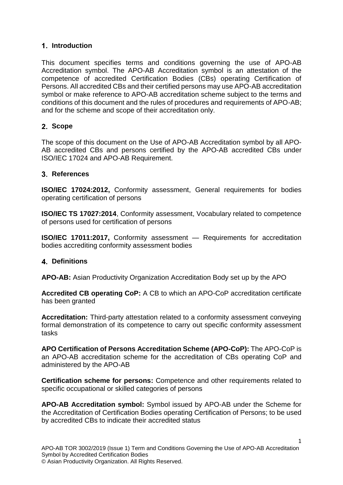## **Introduction**

This document specifies terms and conditions governing the use of APO-AB Accreditation symbol. The APO-AB Accreditation symbol is an attestation of the competence of accredited Certification Bodies (CBs) operating Certification of Persons. All accredited CBs and their certified persons may use APO-AB accreditation symbol or make reference to APO-AB accreditation scheme subject to the terms and conditions of this document and the rules of procedures and requirements of APO-AB; and for the scheme and scope of their accreditation only.

## **Scope**

The scope of this document on the Use of APO-AB Accreditation symbol by all APO-AB accredited CBs and persons certified by the APO-AB accredited CBs under ISO/IEC 17024 and APO-AB Requirement.

#### **References**

**ISO/IEC 17024:2012,** Conformity assessment, General requirements for bodies operating certification of persons

**ISO/IEC TS 17027:2014**, Conformity assessment, Vocabulary related to competence of persons used for certification of persons

**ISO/IEC 17011:2017,** Conformity assessment — Requirements for accreditation bodies accrediting conformity assessment bodies

## **Definitions**

**APO-AB:** Asian Productivity Organization Accreditation Body set up by the APO

**Accredited CB operating CoP:** A CB to which an APO-CoP accreditation certificate has been granted

**Accreditation:** Third-party attestation related to a conformity assessment conveying formal demonstration of its competence to carry out specific conformity assessment tasks

**APO Certification of Persons Accreditation Scheme (APO-CoP):** The APO-CoP is an APO-AB accreditation scheme for the accreditation of CBs operating CoP and administered by the APO-AB

**Certification scheme for persons:** Competence and other requirements related to specific occupational or skilled categories of persons

**APO-AB Accreditation symbol:** Symbol issued by APO-AB under the Scheme for the Accreditation of Certification Bodies operating Certification of Persons; to be used by accredited CBs to indicate their accredited status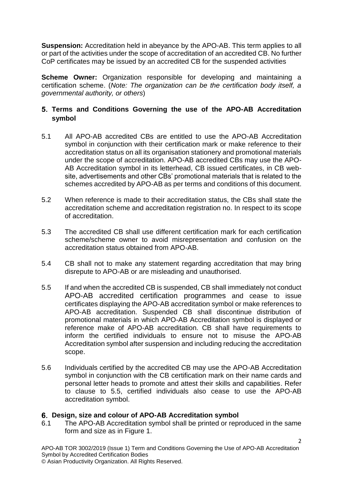**Suspension:** Accreditation held in abeyance by the APO-AB. This term applies to all or part of the activities under the scope of accreditation of an accredited CB. No further CoP certificates may be issued by an accredited CB for the suspended activities

**Scheme Owner:** Organization responsible for developing and maintaining a certification scheme. (*Note: The organization can be the certification body itself, a governmental authority, or others*)

# **Terms and Conditions Governing the use of the APO-AB Accreditation symbol**

- 5.1 All APO-AB accredited CBs are entitled to use the APO-AB Accreditation symbol in conjunction with their certification mark or make reference to their accreditation status on all its organisation stationery and promotional materials under the scope of accreditation. APO-AB accredited CBs may use the APO-AB Accreditation symbol in its letterhead, CB issued certificates, in CB website, advertisements and other CBs' promotional materials that is related to the schemes accredited by APO-AB as per terms and conditions of this document.
- 5.2 When reference is made to their accreditation status, the CBs shall state the accreditation scheme and accreditation registration no. In respect to its scope of accreditation.
- 5.3 The accredited CB shall use different certification mark for each certification scheme/scheme owner to avoid misrepresentation and confusion on the accreditation status obtained from APO-AB.
- 5.4 CB shall not to make any statement regarding accreditation that may bring disrepute to APO-AB or are misleading and unauthorised.
- 5.5 If and when the accredited CB is suspended, CB shall immediately not conduct APO-AB accredited certification programmes and cease to issue certificates displaying the APO-AB accreditation symbol or make references to APO-AB accreditation. Suspended CB shall discontinue distribution of promotional materials in which APO-AB Accreditation symbol is displayed or reference make of APO-AB accreditation. CB shall have requirements to inform the certified individuals to ensure not to misuse the APO-AB Accreditation symbol after suspension and including reducing the accreditation scope.
- 5.6 Individuals certified by the accredited CB may use the APO-AB Accreditation symbol in conjunction with the CB certification mark on their name cards and personal letter heads to promote and attest their skills and capabilities. Refer to clause to 5.5, certified individuals also cease to use the APO-AB accreditation symbol.

## **Design, size and colour of APO-AB Accreditation symbol**

6.1 The APO-AB Accreditation symbol shall be printed or reproduced in the same form and size as in Figure 1.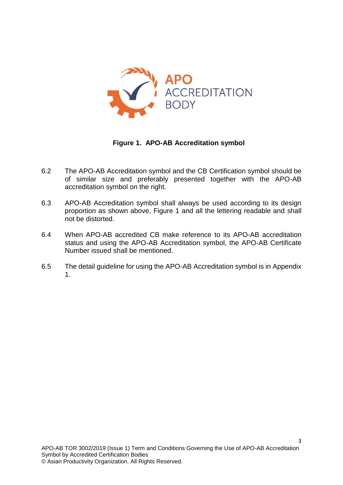

## **Figure 1. APO-AB Accreditation symbol**

- 6.2 The APO-AB Accreditation symbol and the CB Certification symbol should be of similar size and preferably presented together with the APO-AB accreditation symbol on the right.
- 6.3 APO-AB Accreditation symbol shall always be used according to its design proportion as shown above, Figure 1 and all the lettering readable and shall not be distorted.
- 6.4 When APO-AB accredited CB make reference to its APO-AB accreditation status and using the APO-AB Accreditation symbol, the APO-AB Certificate Number issued shall be mentioned.
- 6.5 The detail guideline for using the APO-AB Accreditation symbol is in Appendix 1.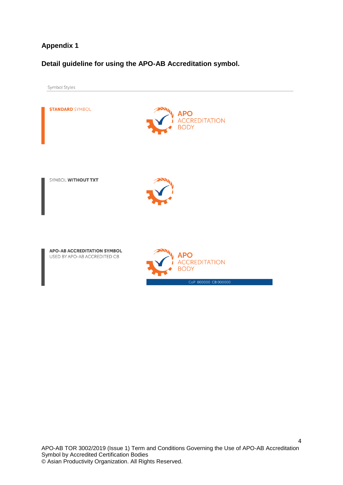# **Appendix 1**

# **Detail guideline for using the APO-AB Accreditation symbol.**

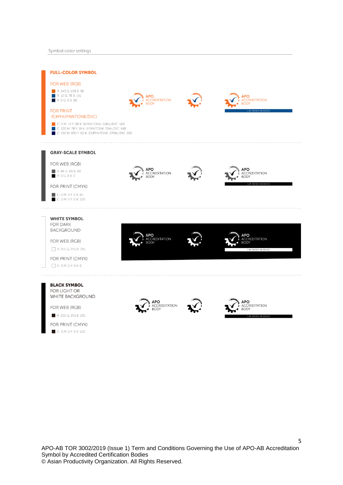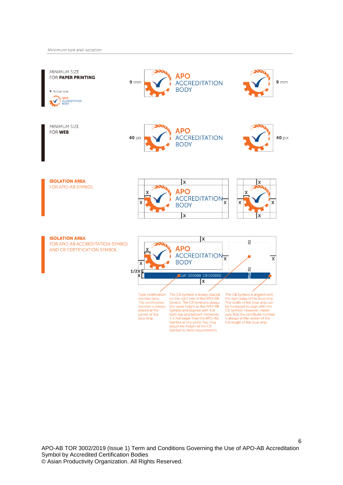